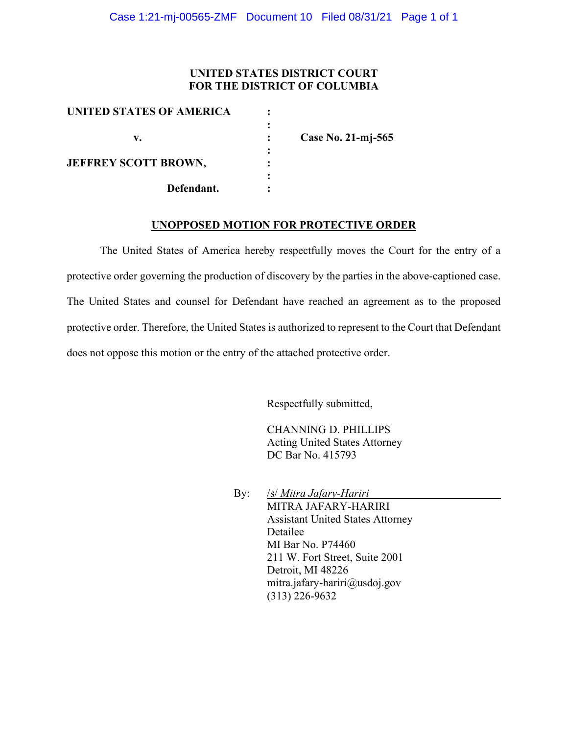## **UNITED STATES DISTRICT COURT FOR THE DISTRICT OF COLUMBIA**

| UNITED STATES OF AMERICA    |                    |
|-----------------------------|--------------------|
| v.                          | Case No. 21-mj-565 |
| <b>JEFFREY SCOTT BROWN,</b> |                    |
| Defendant.                  |                    |

#### **UNOPPOSED MOTION FOR PROTECTIVE ORDER**

The United States of America hereby respectfully moves the Court for the entry of a protective order governing the production of discovery by the parties in the above-captioned case. The United States and counsel for Defendant have reached an agreement as to the proposed protective order. Therefore, the United States is authorized to represent to the Court that Defendant does not oppose this motion or the entry of the attached protective order.

Respectfully submitted,

CHANNING D. PHILLIPS Acting United States Attorney DC Bar No. 415793

By: /s/ *Mitra Jafary-Hariri* MITRA JAFARY-HARIRI Assistant United States Attorney Detailee MI Bar No. P74460 211 W. Fort Street, Suite 2001 Detroit, MI 48226 mitra.jafary-hariri@usdoj.gov (313) 226-9632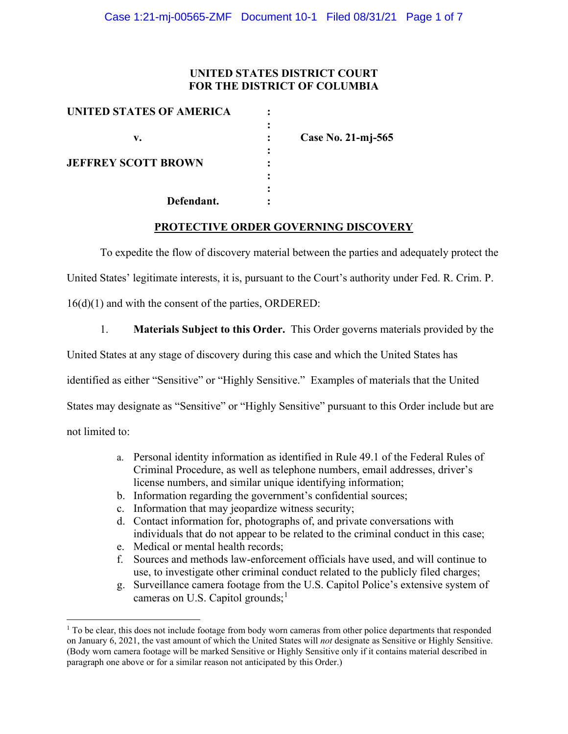## **UNITED STATES DISTRICT COURT FOR THE DISTRICT OF COLUMBIA**

| UNITED STATES OF AMERICA   |                    |
|----------------------------|--------------------|
|                            |                    |
| v.                         | Case No. 21-mj-565 |
|                            |                    |
| <b>JEFFREY SCOTT BROWN</b> |                    |
|                            |                    |
|                            |                    |
| Defendant.                 |                    |

### **PROTECTIVE ORDER GOVERNING DISCOVERY**

To expedite the flow of discovery material between the parties and adequately protect the

United States' legitimate interests, it is, pursuant to the Court's authority under Fed. R. Crim. P.

16(d)(1) and with the consent of the parties, ORDERED:

1. **Materials Subject to this Order.** This Order governs materials provided by the

United States at any stage of discovery during this case and which the United States has

identified as either "Sensitive" or "Highly Sensitive." Examples of materials that the United

States may designate as "Sensitive" or "Highly Sensitive" pursuant to this Order include but are

not limited to:

- a. Personal identity information as identified in Rule 49.1 of the Federal Rules of Criminal Procedure, as well as telephone numbers, email addresses, driver's license numbers, and similar unique identifying information;
- b. Information regarding the government's confidential sources;
- c. Information that may jeopardize witness security;
- d. Contact information for, photographs of, and private conversations with individuals that do not appear to be related to the criminal conduct in this case;
- e. Medical or mental health records;
- f. Sources and methods law-enforcement officials have used, and will continue to use, to investigate other criminal conduct related to the publicly filed charges;
- g. Surveillance camera footage from the U.S. Capitol Police's extensive system of cameras on U.S. Capitol grounds;<sup>1</sup>

<sup>&</sup>lt;sup>1</sup> To be clear, this does not include footage from body worn cameras from other police departments that responded on January 6, 2021, the vast amount of which the United States will *not* designate as Sensitive or Highly Sensitive. (Body worn camera footage will be marked Sensitive or Highly Sensitive only if it contains material described in paragraph one above or for a similar reason not anticipated by this Order.)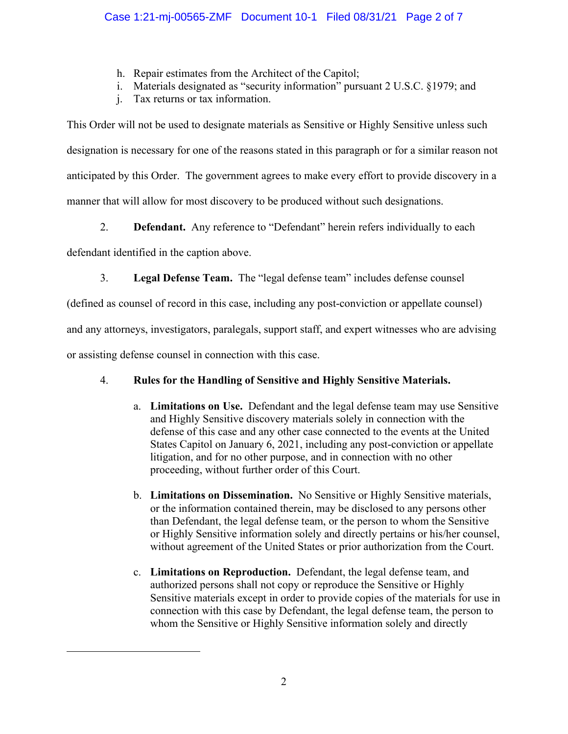- h. Repair estimates from the Architect of the Capitol;
- i. Materials designated as "security information" pursuant 2 U.S.C. §1979; and
- j. Tax returns or tax information.

This Order will not be used to designate materials as Sensitive or Highly Sensitive unless such designation is necessary for one of the reasons stated in this paragraph or for a similar reason not anticipated by this Order. The government agrees to make every effort to provide discovery in a manner that will allow for most discovery to be produced without such designations.

2. **Defendant.** Any reference to "Defendant" herein refers individually to each

defendant identified in the caption above.

3. **Legal Defense Team.** The "legal defense team" includes defense counsel

(defined as counsel of record in this case, including any post-conviction or appellate counsel)

and any attorneys, investigators, paralegals, support staff, and expert witnesses who are advising

or assisting defense counsel in connection with this case.

# 4. **Rules for the Handling of Sensitive and Highly Sensitive Materials.**

- a. **Limitations on Use.** Defendant and the legal defense team may use Sensitive and Highly Sensitive discovery materials solely in connection with the defense of this case and any other case connected to the events at the United States Capitol on January 6, 2021, including any post-conviction or appellate litigation, and for no other purpose, and in connection with no other proceeding, without further order of this Court.
- b. **Limitations on Dissemination.** No Sensitive or Highly Sensitive materials, or the information contained therein, may be disclosed to any persons other than Defendant, the legal defense team, or the person to whom the Sensitive or Highly Sensitive information solely and directly pertains or his/her counsel, without agreement of the United States or prior authorization from the Court.
- c. **Limitations on Reproduction.** Defendant, the legal defense team, and authorized persons shall not copy or reproduce the Sensitive or Highly Sensitive materials except in order to provide copies of the materials for use in connection with this case by Defendant, the legal defense team, the person to whom the Sensitive or Highly Sensitive information solely and directly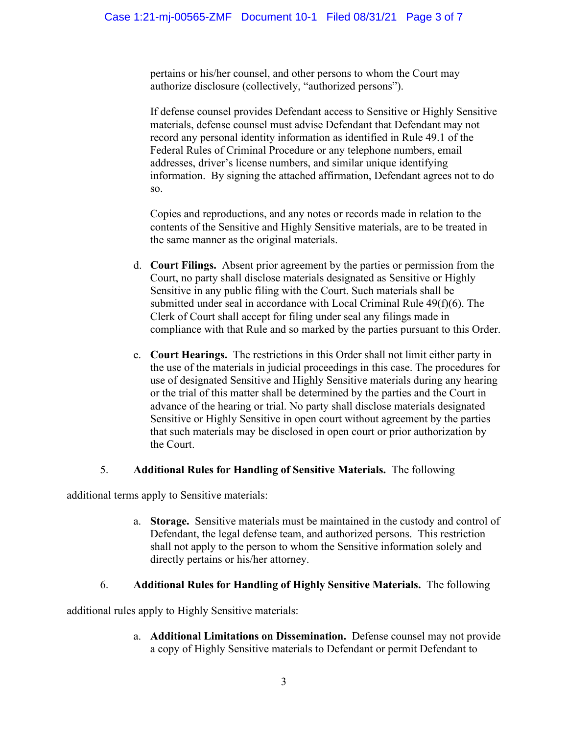pertains or his/her counsel, and other persons to whom the Court may authorize disclosure (collectively, "authorized persons").

If defense counsel provides Defendant access to Sensitive or Highly Sensitive materials, defense counsel must advise Defendant that Defendant may not record any personal identity information as identified in Rule 49.1 of the Federal Rules of Criminal Procedure or any telephone numbers, email addresses, driver's license numbers, and similar unique identifying information. By signing the attached affirmation, Defendant agrees not to do so.

Copies and reproductions, and any notes or records made in relation to the contents of the Sensitive and Highly Sensitive materials, are to be treated in the same manner as the original materials.

- d. **Court Filings.** Absent prior agreement by the parties or permission from the Court, no party shall disclose materials designated as Sensitive or Highly Sensitive in any public filing with the Court. Such materials shall be submitted under seal in accordance with Local Criminal Rule 49(f)(6). The Clerk of Court shall accept for filing under seal any filings made in compliance with that Rule and so marked by the parties pursuant to this Order.
- e. **Court Hearings.** The restrictions in this Order shall not limit either party in the use of the materials in judicial proceedings in this case. The procedures for use of designated Sensitive and Highly Sensitive materials during any hearing or the trial of this matter shall be determined by the parties and the Court in advance of the hearing or trial. No party shall disclose materials designated Sensitive or Highly Sensitive in open court without agreement by the parties that such materials may be disclosed in open court or prior authorization by the Court.

# 5. **Additional Rules for Handling of Sensitive Materials.** The following

additional terms apply to Sensitive materials:

a. **Storage.** Sensitive materials must be maintained in the custody and control of Defendant, the legal defense team, and authorized persons. This restriction shall not apply to the person to whom the Sensitive information solely and directly pertains or his/her attorney.

# 6. **Additional Rules for Handling of Highly Sensitive Materials.** The following

additional rules apply to Highly Sensitive materials:

a. **Additional Limitations on Dissemination.** Defense counsel may not provide a copy of Highly Sensitive materials to Defendant or permit Defendant to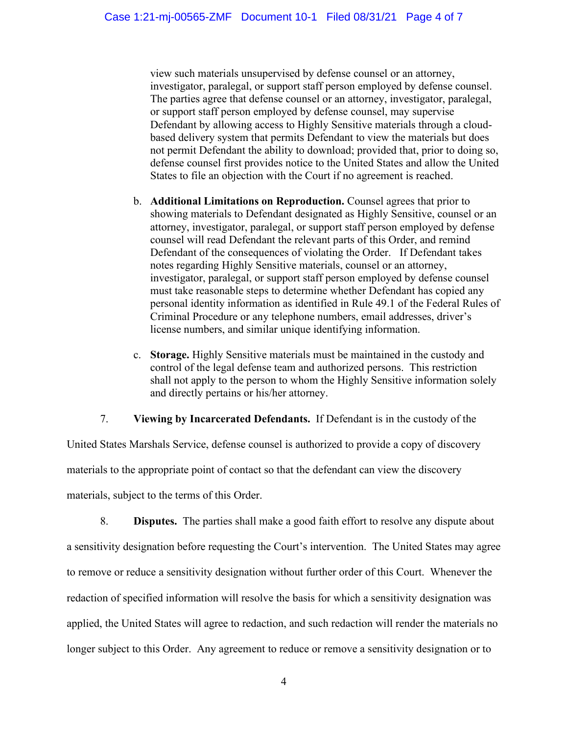view such materials unsupervised by defense counsel or an attorney, investigator, paralegal, or support staff person employed by defense counsel. The parties agree that defense counsel or an attorney, investigator, paralegal, or support staff person employed by defense counsel, may supervise Defendant by allowing access to Highly Sensitive materials through a cloudbased delivery system that permits Defendant to view the materials but does not permit Defendant the ability to download; provided that, prior to doing so, defense counsel first provides notice to the United States and allow the United States to file an objection with the Court if no agreement is reached.

- b. **Additional Limitations on Reproduction.** Counsel agrees that prior to showing materials to Defendant designated as Highly Sensitive, counsel or an attorney, investigator, paralegal, or support staff person employed by defense counsel will read Defendant the relevant parts of this Order, and remind Defendant of the consequences of violating the Order. If Defendant takes notes regarding Highly Sensitive materials, counsel or an attorney, investigator, paralegal, or support staff person employed by defense counsel must take reasonable steps to determine whether Defendant has copied any personal identity information as identified in Rule 49.1 of the Federal Rules of Criminal Procedure or any telephone numbers, email addresses, driver's license numbers, and similar unique identifying information.
- c. **Storage.** Highly Sensitive materials must be maintained in the custody and control of the legal defense team and authorized persons. This restriction shall not apply to the person to whom the Highly Sensitive information solely and directly pertains or his/her attorney.

### 7. **Viewing by Incarcerated Defendants.** If Defendant is in the custody of the

United States Marshals Service, defense counsel is authorized to provide a copy of discovery materials to the appropriate point of contact so that the defendant can view the discovery materials, subject to the terms of this Order.

8. **Disputes.** The parties shall make a good faith effort to resolve any dispute about a sensitivity designation before requesting the Court's intervention. The United States may agree to remove or reduce a sensitivity designation without further order of this Court. Whenever the redaction of specified information will resolve the basis for which a sensitivity designation was applied, the United States will agree to redaction, and such redaction will render the materials no longer subject to this Order. Any agreement to reduce or remove a sensitivity designation or to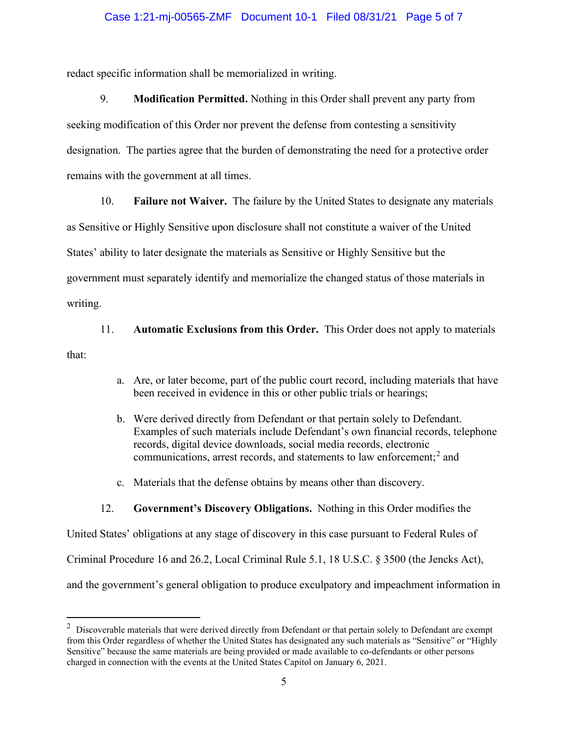#### Case 1:21-mj-00565-ZMF Document 10-1 Filed 08/31/21 Page 5 of 7

redact specific information shall be memorialized in writing.

9. **Modification Permitted.** Nothing in this Order shall prevent any party from seeking modification of this Order nor prevent the defense from contesting a sensitivity designation. The parties agree that the burden of demonstrating the need for a protective order remains with the government at all times.

10. **Failure not Waiver.** The failure by the United States to designate any materials

as Sensitive or Highly Sensitive upon disclosure shall not constitute a waiver of the United

States' ability to later designate the materials as Sensitive or Highly Sensitive but the

government must separately identify and memorialize the changed status of those materials in

writing.

11. **Automatic Exclusions from this Order.** This Order does not apply to materials

that:

- a. Are, or later become, part of the public court record, including materials that have been received in evidence in this or other public trials or hearings;
- b. Were derived directly from Defendant or that pertain solely to Defendant. Examples of such materials include Defendant's own financial records, telephone records, digital device downloads, social media records, electronic communications, arrest records, and statements to law enforcement; <sup>2</sup> and
- c. Materials that the defense obtains by means other than discovery.

### 12. **Government's Discovery Obligations.** Nothing in this Order modifies the

United States' obligations at any stage of discovery in this case pursuant to Federal Rules of Criminal Procedure 16 and 26.2, Local Criminal Rule 5.1, 18 U.S.C. § 3500 (the Jencks Act), and the government's general obligation to produce exculpatory and impeachment information in

 $2$  Discoverable materials that were derived directly from Defendant or that pertain solely to Defendant are exempt from this Order regardless of whether the United States has designated any such materials as "Sensitive" or "Highly Sensitive" because the same materials are being provided or made available to co-defendants or other persons charged in connection with the events at the United States Capitol on January 6, 2021.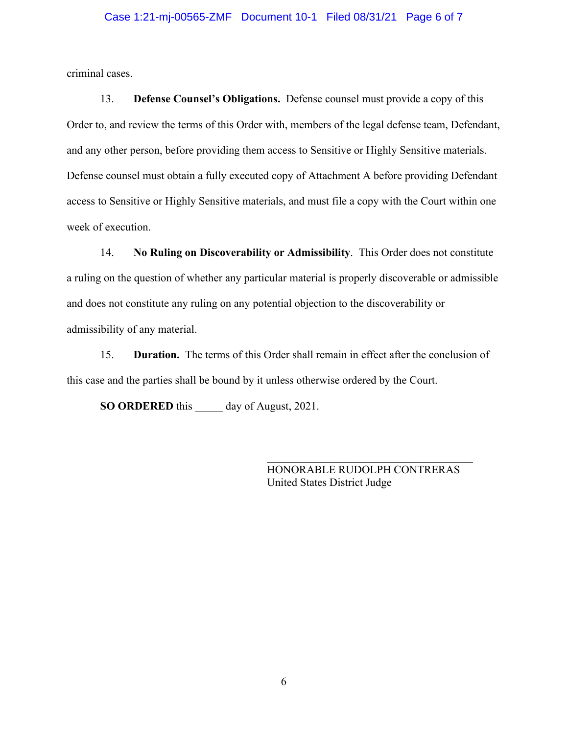#### Case 1:21-mj-00565-ZMF Document 10-1 Filed 08/31/21 Page 6 of 7

criminal cases.

13. **Defense Counsel's Obligations.** Defense counsel must provide a copy of this Order to, and review the terms of this Order with, members of the legal defense team, Defendant, and any other person, before providing them access to Sensitive or Highly Sensitive materials. Defense counsel must obtain a fully executed copy of Attachment A before providing Defendant access to Sensitive or Highly Sensitive materials, and must file a copy with the Court within one week of execution.

14. **No Ruling on Discoverability or Admissibility**. This Order does not constitute a ruling on the question of whether any particular material is properly discoverable or admissible and does not constitute any ruling on any potential objection to the discoverability or admissibility of any material.

15. **Duration.** The terms of this Order shall remain in effect after the conclusion of this case and the parties shall be bound by it unless otherwise ordered by the Court.

**SO ORDERED** this day of August, 2021.

HONORABLE RUDOLPH CONTRERAS United States District Judge

\_\_\_\_\_\_\_\_\_\_\_\_\_\_\_\_\_\_\_\_\_\_\_\_\_\_\_\_\_\_\_\_\_\_\_\_\_